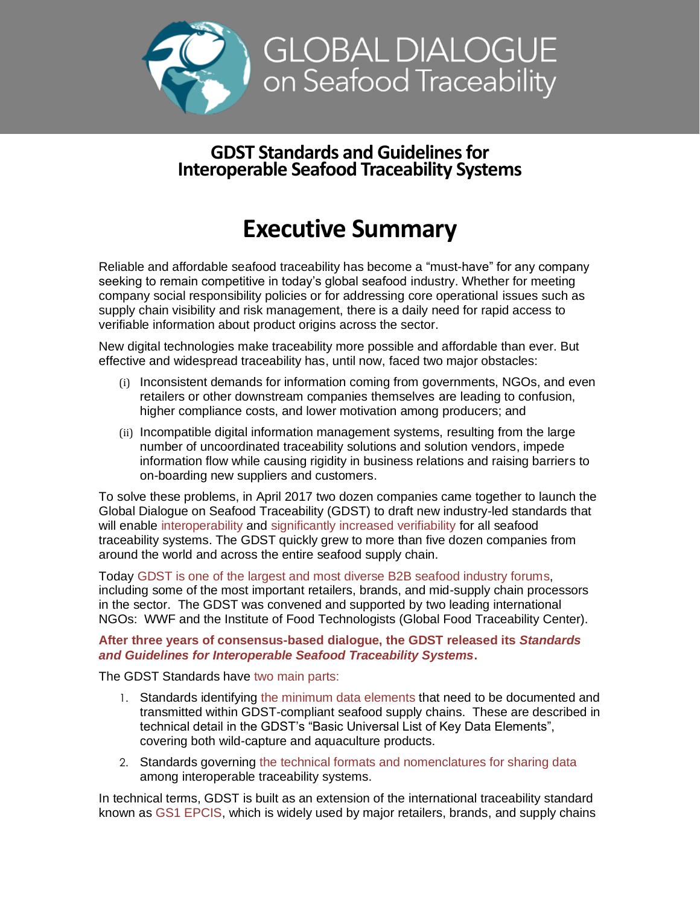

## **GDST Standards and Guidelines for Interoperable Seafood Traceability Systems**

## **Executive Summary**

Reliable and affordable seafood traceability has become a "must-have" for any company seeking to remain competitive in today's global seafood industry. Whether for meeting company social responsibility policies or for addressing core operational issues such as supply chain visibility and risk management, there is a daily need for rapid access to verifiable information about product origins across the sector.

New digital technologies make traceability more possible and affordable than ever. But effective and widespread traceability has, until now, faced two major obstacles:

- (i) Inconsistent demands for information coming from governments, NGOs, and even retailers or other downstream companies themselves are leading to confusion, higher compliance costs, and lower motivation among producers; and
- (ii) Incompatible digital information management systems, resulting from the large number of uncoordinated traceability solutions and solution vendors, impede information flow while causing rigidity in business relations and raising barriers to on-boarding new suppliers and customers.

To solve these problems, in April 2017 two dozen companies came together to launch the Global Dialogue on Seafood Traceability (GDST) to draft new industry-led standards that will enable interoperability and significantly increased verifiability for all seafood traceability systems. The GDST quickly grew to more than five dozen companies from around the world and across the entire seafood supply chain.

Today GDST is one of the largest and most diverse B2B seafood industry forums, including some of the most important retailers, brands, and mid-supply chain processors in the sector. The GDST was convened and supported by two leading international NGOs: WWF and the Institute of Food Technologists (Global Food Traceability Center).

## **After three years of consensus-based dialogue, the GDST released its** *Standards and Guidelines for Interoperable Seafood Traceability Systems***.**

The GDST Standards have two main parts:

- 1. Standards identifying the minimum data elements that need to be documented and transmitted within GDST-compliant seafood supply chains. These are described in technical detail in the GDST's "Basic Universal List of Key Data Elements", covering both wild-capture and aquaculture products.
- 2. Standards governing the technical formats and nomenclatures for sharing data among interoperable traceability systems.

In technical terms, GDST is built as an extension of the international traceability standard known as GS1 EPCIS, which is widely used by major retailers, brands, and supply chains